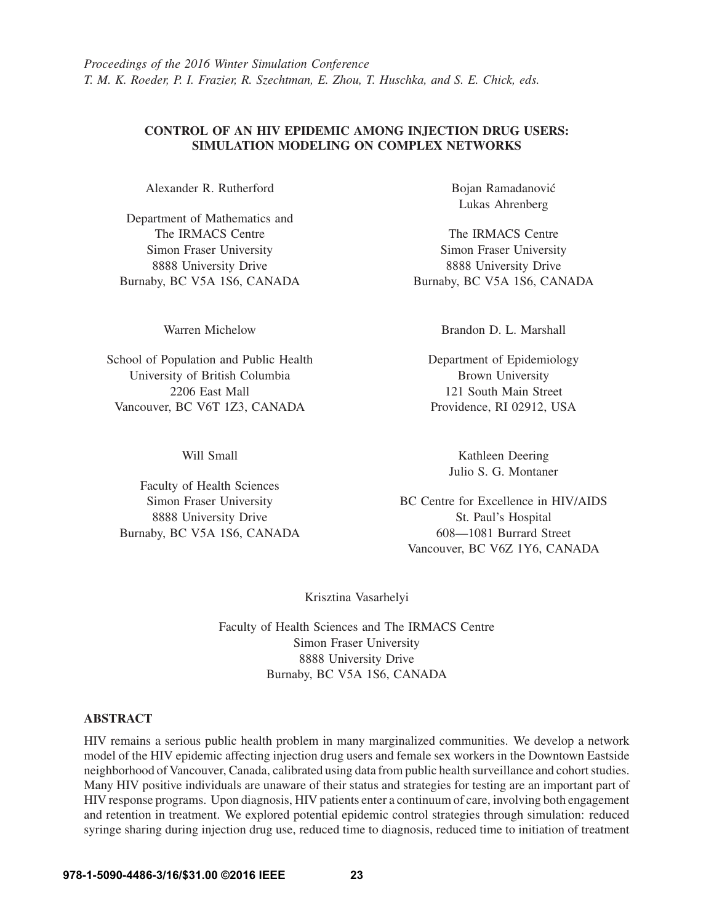# CONTROL OF AN HIV EPIDEMIC AMONG INJECTION DRUG USERS: SIMULATION MODELING ON COMPLEX NETWORKS

Alexander R. Rutherford

Department of Mathematics and The IRMACS Centre Simon Fraser University 8888 University Drive Burnaby, BC V5A 1S6, CANADA

Warren Michelow

School of Population and Public Health University of British Columbia 2206 East Mall Vancouver, BC V6T 1Z3, CANADA

Will Small

Faculty of Health Sciences Simon Fraser University 8888 University Drive Burnaby, BC V5A 1S6, CANADA Bojan Ramadanovic´ Lukas Ahrenberg

The IRMACS Centre Simon Fraser University 8888 University Drive Burnaby, BC V5A 1S6, CANADA

Brandon D. L. Marshall

Department of Epidemiology Brown University 121 South Main Street Providence, RI 02912, USA

> Kathleen Deering Julio S. G. Montaner

BC Centre for Excellence in HIV/AIDS St. Paul's Hospital 608—1081 Burrard Street Vancouver, BC V6Z 1Y6, CANADA

Krisztina Vasarhelyi

Faculty of Health Sciences and The IRMACS Centre Simon Fraser University 8888 University Drive Burnaby, BC V5A 1S6, CANADA

## ABSTRACT

HIV remains a serious public health problem in many marginalized communities. We develop a network model of the HIV epidemic affecting injection drug users and female sex workers in the Downtown Eastside neighborhood of Vancouver, Canada, calibrated using data from public health surveillance and cohort studies. Many HIV positive individuals are unaware of their status and strategies for testing are an important part of HIV response programs. Upon diagnosis, HIV patients enter a continuum of care, involving both engagement and retention in treatment. We explored potential epidemic control strategies through simulation: reduced syringe sharing during injection drug use, reduced time to diagnosis, reduced time to initiation of treatment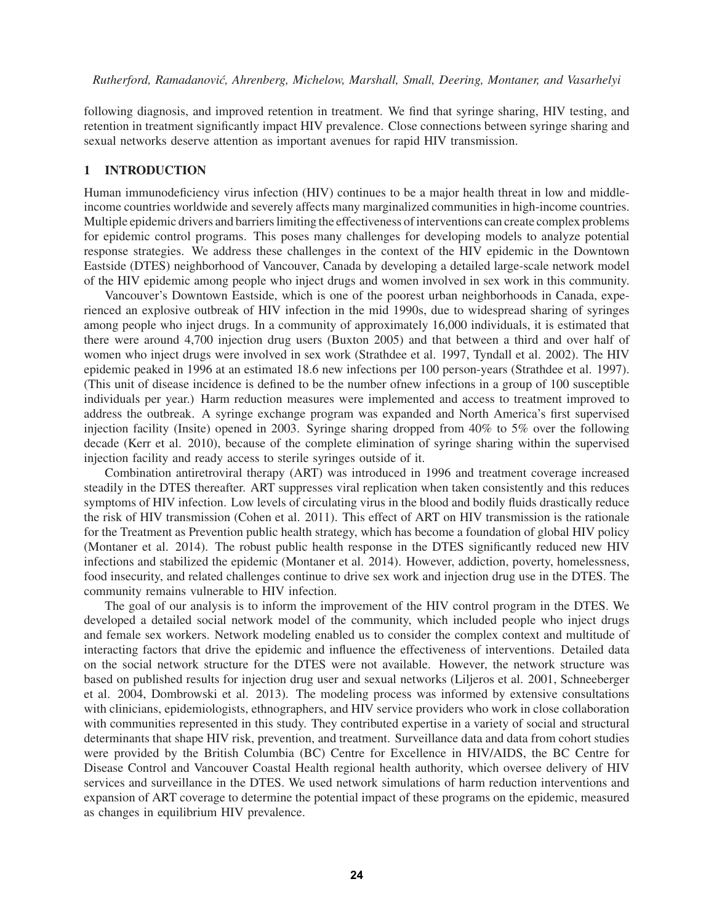following diagnosis, and improved retention in treatment. We find that syringe sharing, HIV testing, and retention in treatment significantly impact HIV prevalence. Close connections between syringe sharing and sexual networks deserve attention as important avenues for rapid HIV transmission.

### 1 INTRODUCTION

Human immunodeficiency virus infection (HIV) continues to be a major health threat in low and middleincome countries worldwide and severely affects many marginalized communities in high-income countries. Multiple epidemic drivers and barriers limiting the effectiveness of interventions can create complex problems for epidemic control programs. This poses many challenges for developing models to analyze potential response strategies. We address these challenges in the context of the HIV epidemic in the Downtown Eastside (DTES) neighborhood of Vancouver, Canada by developing a detailed large-scale network model of the HIV epidemic among people who inject drugs and women involved in sex work in this community.

Vancouver's Downtown Eastside, which is one of the poorest urban neighborhoods in Canada, experienced an explosive outbreak of HIV infection in the mid 1990s, due to widespread sharing of syringes among people who inject drugs. In a community of approximately 16,000 individuals, it is estimated that there were around 4,700 injection drug users (Buxton 2005) and that between a third and over half of women who inject drugs were involved in sex work (Strathdee et al. 1997, Tyndall et al. 2002). The HIV epidemic peaked in 1996 at an estimated 18.6 new infections per 100 person-years (Strathdee et al. 1997). (This unit of disease incidence is defined to be the number ofnew infections in a group of 100 susceptible individuals per year.) Harm reduction measures were implemented and access to treatment improved to address the outbreak. A syringe exchange program was expanded and North America's first supervised injection facility (Insite) opened in 2003. Syringe sharing dropped from 40% to 5% over the following decade (Kerr et al. 2010), because of the complete elimination of syringe sharing within the supervised injection facility and ready access to sterile syringes outside of it.

Combination antiretroviral therapy (ART) was introduced in 1996 and treatment coverage increased steadily in the DTES thereafter. ART suppresses viral replication when taken consistently and this reduces symptoms of HIV infection. Low levels of circulating virus in the blood and bodily fluids drastically reduce the risk of HIV transmission (Cohen et al. 2011). This effect of ART on HIV transmission is the rationale for the Treatment as Prevention public health strategy, which has become a foundation of global HIV policy (Montaner et al. 2014). The robust public health response in the DTES significantly reduced new HIV infections and stabilized the epidemic (Montaner et al. 2014). However, addiction, poverty, homelessness, food insecurity, and related challenges continue to drive sex work and injection drug use in the DTES. The community remains vulnerable to HIV infection.

The goal of our analysis is to inform the improvement of the HIV control program in the DTES. We developed a detailed social network model of the community, which included people who inject drugs and female sex workers. Network modeling enabled us to consider the complex context and multitude of interacting factors that drive the epidemic and influence the effectiveness of interventions. Detailed data on the social network structure for the DTES were not available. However, the network structure was based on published results for injection drug user and sexual networks (Liljeros et al. 2001, Schneeberger et al. 2004, Dombrowski et al. 2013). The modeling process was informed by extensive consultations with clinicians, epidemiologists, ethnographers, and HIV service providers who work in close collaboration with communities represented in this study. They contributed expertise in a variety of social and structural determinants that shape HIV risk, prevention, and treatment. Surveillance data and data from cohort studies were provided by the British Columbia (BC) Centre for Excellence in HIV/AIDS, the BC Centre for Disease Control and Vancouver Coastal Health regional health authority, which oversee delivery of HIV services and surveillance in the DTES. We used network simulations of harm reduction interventions and expansion of ART coverage to determine the potential impact of these programs on the epidemic, measured as changes in equilibrium HIV prevalence.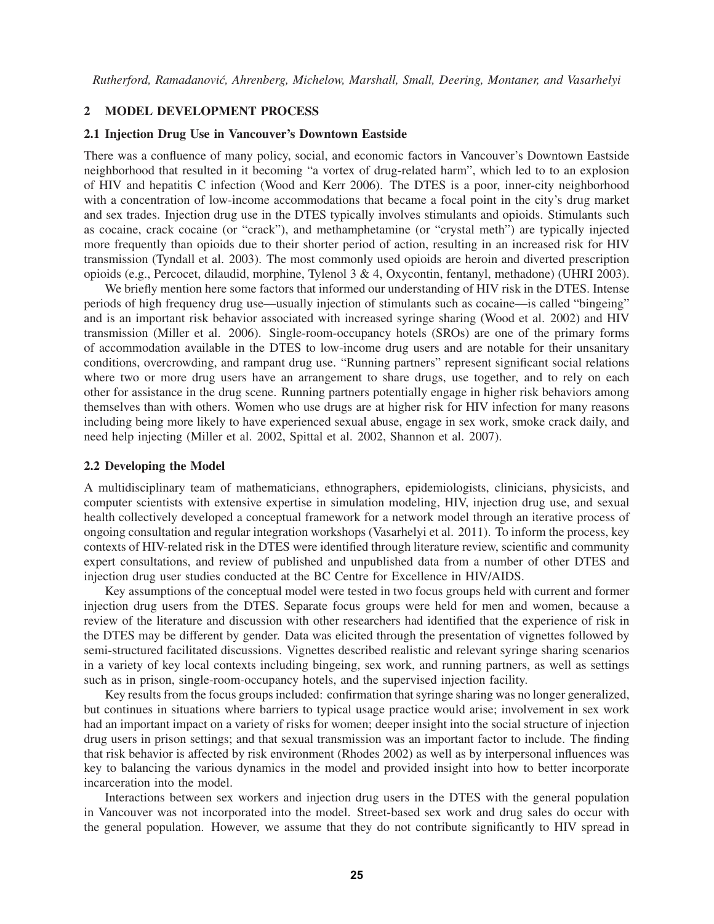#### 2 MODEL DEVELOPMENT PROCESS

### 2.1 Injection Drug Use in Vancouver's Downtown Eastside

There was a confluence of many policy, social, and economic factors in Vancouver's Downtown Eastside neighborhood that resulted in it becoming "a vortex of drug-related harm", which led to to an explosion of HIV and hepatitis C infection (Wood and Kerr 2006). The DTES is a poor, inner-city neighborhood with a concentration of low-income accommodations that became a focal point in the city's drug market and sex trades. Injection drug use in the DTES typically involves stimulants and opioids. Stimulants such as cocaine, crack cocaine (or "crack"), and methamphetamine (or "crystal meth") are typically injected more frequently than opioids due to their shorter period of action, resulting in an increased risk for HIV transmission (Tyndall et al. 2003). The most commonly used opioids are heroin and diverted prescription opioids (e.g., Percocet, dilaudid, morphine, Tylenol 3 & 4, Oxycontin, fentanyl, methadone) (UHRI 2003).

We briefly mention here some factors that informed our understanding of HIV risk in the DTES. Intense periods of high frequency drug use—usually injection of stimulants such as cocaine—is called "bingeing" and is an important risk behavior associated with increased syringe sharing (Wood et al. 2002) and HIV transmission (Miller et al. 2006). Single-room-occupancy hotels (SROs) are one of the primary forms of accommodation available in the DTES to low-income drug users and are notable for their unsanitary conditions, overcrowding, and rampant drug use. "Running partners" represent significant social relations where two or more drug users have an arrangement to share drugs, use together, and to rely on each other for assistance in the drug scene. Running partners potentially engage in higher risk behaviors among themselves than with others. Women who use drugs are at higher risk for HIV infection for many reasons including being more likely to have experienced sexual abuse, engage in sex work, smoke crack daily, and need help injecting (Miller et al. 2002, Spittal et al. 2002, Shannon et al. 2007).

#### 2.2 Developing the Model

A multidisciplinary team of mathematicians, ethnographers, epidemiologists, clinicians, physicists, and computer scientists with extensive expertise in simulation modeling, HIV, injection drug use, and sexual health collectively developed a conceptual framework for a network model through an iterative process of ongoing consultation and regular integration workshops (Vasarhelyi et al. 2011). To inform the process, key contexts of HIV-related risk in the DTES were identified through literature review, scientific and community expert consultations, and review of published and unpublished data from a number of other DTES and injection drug user studies conducted at the BC Centre for Excellence in HIV/AIDS.

Key assumptions of the conceptual model were tested in two focus groups held with current and former injection drug users from the DTES. Separate focus groups were held for men and women, because a review of the literature and discussion with other researchers had identified that the experience of risk in the DTES may be different by gender. Data was elicited through the presentation of vignettes followed by semi-structured facilitated discussions. Vignettes described realistic and relevant syringe sharing scenarios in a variety of key local contexts including bingeing, sex work, and running partners, as well as settings such as in prison, single-room-occupancy hotels, and the supervised injection facility.

Key results from the focus groups included: confirmation that syringe sharing was no longer generalized, but continues in situations where barriers to typical usage practice would arise; involvement in sex work had an important impact on a variety of risks for women; deeper insight into the social structure of injection drug users in prison settings; and that sexual transmission was an important factor to include. The finding that risk behavior is affected by risk environment (Rhodes 2002) as well as by interpersonal influences was key to balancing the various dynamics in the model and provided insight into how to better incorporate incarceration into the model.

Interactions between sex workers and injection drug users in the DTES with the general population in Vancouver was not incorporated into the model. Street-based sex work and drug sales do occur with the general population. However, we assume that they do not contribute significantly to HIV spread in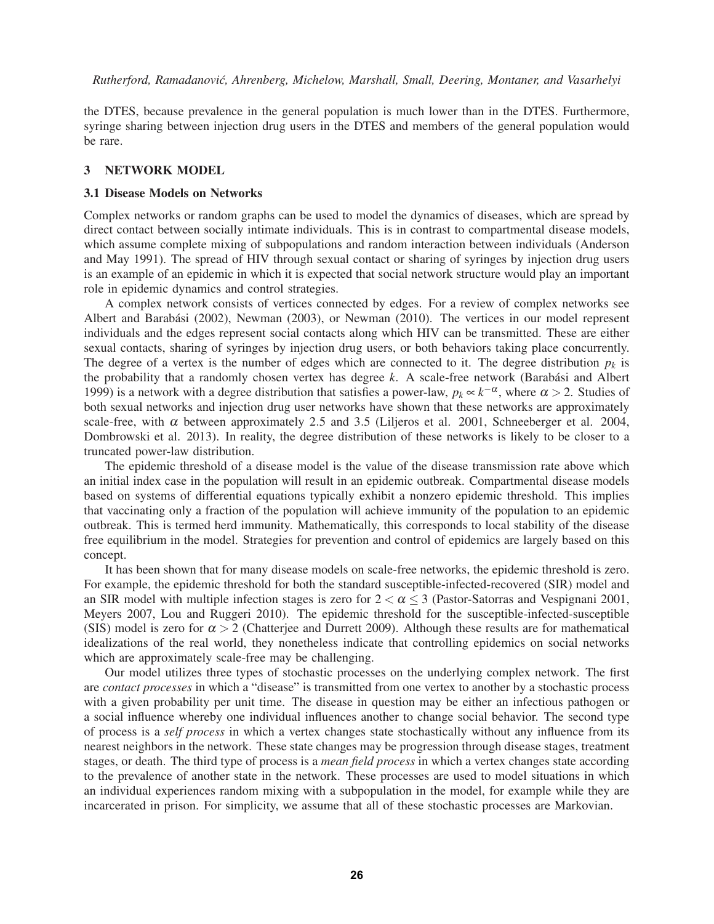the DTES, because prevalence in the general population is much lower than in the DTES. Furthermore, syringe sharing between injection drug users in the DTES and members of the general population would be rare.

#### 3 NETWORK MODEL

#### 3.1 Disease Models on Networks

Complex networks or random graphs can be used to model the dynamics of diseases, which are spread by direct contact between socially intimate individuals. This is in contrast to compartmental disease models, which assume complete mixing of subpopulations and random interaction between individuals (Anderson and May 1991). The spread of HIV through sexual contact or sharing of syringes by injection drug users is an example of an epidemic in which it is expected that social network structure would play an important role in epidemic dynamics and control strategies.

A complex network consists of vertices connected by edges. For a review of complex networks see Albert and Barabási (2002), Newman (2003), or Newman (2010). The vertices in our model represent individuals and the edges represent social contacts along which HIV can be transmitted. These are either sexual contacts, sharing of syringes by injection drug users, or both behaviors taking place concurrently. The degree of a vertex is the number of edges which are connected to it. The degree distribution  $p_k$  is the probability that a randomly chosen vertex has degree  $k$ . A scale-free network (Barabási and Albert 1999) is a network with a degree distribution that satisfies a power-law,  $p_k \propto k^{-\alpha}$ , where  $\alpha > 2$ . Studies of both sexual networks and injection drug user networks have shown that these networks are approximately scale-free, with  $\alpha$  between approximately 2.5 and 3.5 (Liljeros et al. 2001, Schneeberger et al. 2004, Dombrowski et al. 2013). In reality, the degree distribution of these networks is likely to be closer to a truncated power-law distribution.

The epidemic threshold of a disease model is the value of the disease transmission rate above which an initial index case in the population will result in an epidemic outbreak. Compartmental disease models based on systems of differential equations typically exhibit a nonzero epidemic threshold. This implies that vaccinating only a fraction of the population will achieve immunity of the population to an epidemic outbreak. This is termed herd immunity. Mathematically, this corresponds to local stability of the disease free equilibrium in the model. Strategies for prevention and control of epidemics are largely based on this concept.

It has been shown that for many disease models on scale-free networks, the epidemic threshold is zero. For example, the epidemic threshold for both the standard susceptible-infected-recovered (SIR) model and an SIR model with multiple infection stages is zero for  $2 < \alpha \leq 3$  (Pastor-Satorras and Vespignani 2001, Meyers 2007, Lou and Ruggeri 2010). The epidemic threshold for the susceptible-infected-susceptible (SIS) model is zero for  $\alpha > 2$  (Chatterjee and Durrett 2009). Although these results are for mathematical idealizations of the real world, they nonetheless indicate that controlling epidemics on social networks which are approximately scale-free may be challenging.

Our model utilizes three types of stochastic processes on the underlying complex network. The first are *contact processes* in which a "disease" is transmitted from one vertex to another by a stochastic process with a given probability per unit time. The disease in question may be either an infectious pathogen or a social influence whereby one individual influences another to change social behavior. The second type of process is a *self process* in which a vertex changes state stochastically without any influence from its nearest neighbors in the network. These state changes may be progression through disease stages, treatment stages, or death. The third type of process is a *mean field process* in which a vertex changes state according to the prevalence of another state in the network. These processes are used to model situations in which an individual experiences random mixing with a subpopulation in the model, for example while they are incarcerated in prison. For simplicity, we assume that all of these stochastic processes are Markovian.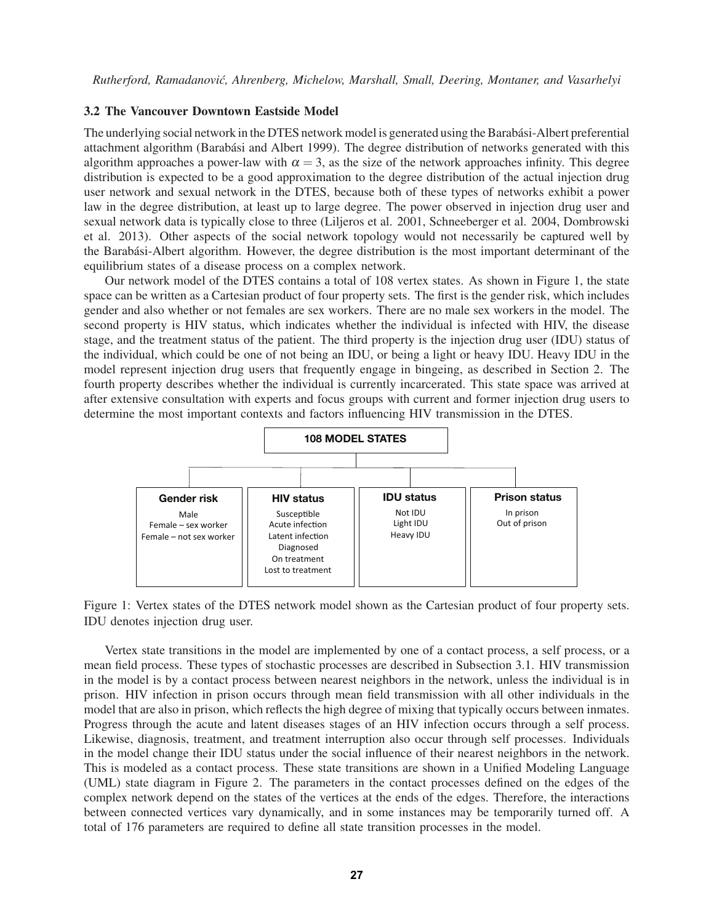#### 3.2 The Vancouver Downtown Eastside Model

The underlying social network in the DTES network model is generated using the Barabási-Albert preferential attachment algorithm (Barabási and Albert 1999). The degree distribution of networks generated with this algorithm approaches a power-law with  $\alpha = 3$ , as the size of the network approaches infinity. This degree distribution is expected to be a good approximation to the degree distribution of the actual injection drug user network and sexual network in the DTES, because both of these types of networks exhibit a power law in the degree distribution, at least up to large degree. The power observed in injection drug user and sexual network data is typically close to three (Liljeros et al. 2001, Schneeberger et al. 2004, Dombrowski et al. 2013). Other aspects of the social network topology would not necessarily be captured well by the Barabasi-Albert algorithm. However, the degree distribution is the most important determinant of the ´ equilibrium states of a disease process on a complex network.

Our network model of the DTES contains a total of 108 vertex states. As shown in Figure 1, the state space can be written as a Cartesian product of four property sets. The first is the gender risk, which includes gender and also whether or not females are sex workers. There are no male sex workers in the model. The second property is HIV status, which indicates whether the individual is infected with HIV, the disease stage, and the treatment status of the patient. The third property is the injection drug user (IDU) status of the individual, which could be one of not being an IDU, or being a light or heavy IDU. Heavy IDU in the model represent injection drug users that frequently engage in bingeing, as described in Section 2. The fourth property describes whether the individual is currently incarcerated. This state space was arrived at after extensive consultation with experts and focus groups with current and former injection drug users to determine the most important contexts and factors influencing HIV transmission in the DTES.



Figure 1: Vertex states of the DTES network model shown as the Cartesian product of four property sets. IDU denotes injection drug user.

Vertex state transitions in the model are implemented by one of a contact process, a self process, or a mean field process. These types of stochastic processes are described in Subsection 3.1. HIV transmission in the model is by a contact process between nearest neighbors in the network, unless the individual is in prison. HIV infection in prison occurs through mean field transmission with all other individuals in the model that are also in prison, which reflects the high degree of mixing that typically occurs between inmates. Progress through the acute and latent diseases stages of an HIV infection occurs through a self process. Likewise, diagnosis, treatment, and treatment interruption also occur through self processes. Individuals in the model change their IDU status under the social influence of their nearest neighbors in the network. This is modeled as a contact process. These state transitions are shown in a Unified Modeling Language (UML) state diagram in Figure 2. The parameters in the contact processes defined on the edges of the complex network depend on the states of the vertices at the ends of the edges. Therefore, the interactions between connected vertices vary dynamically, and in some instances may be temporarily turned off. A total of 176 parameters are required to define all state transition processes in the model.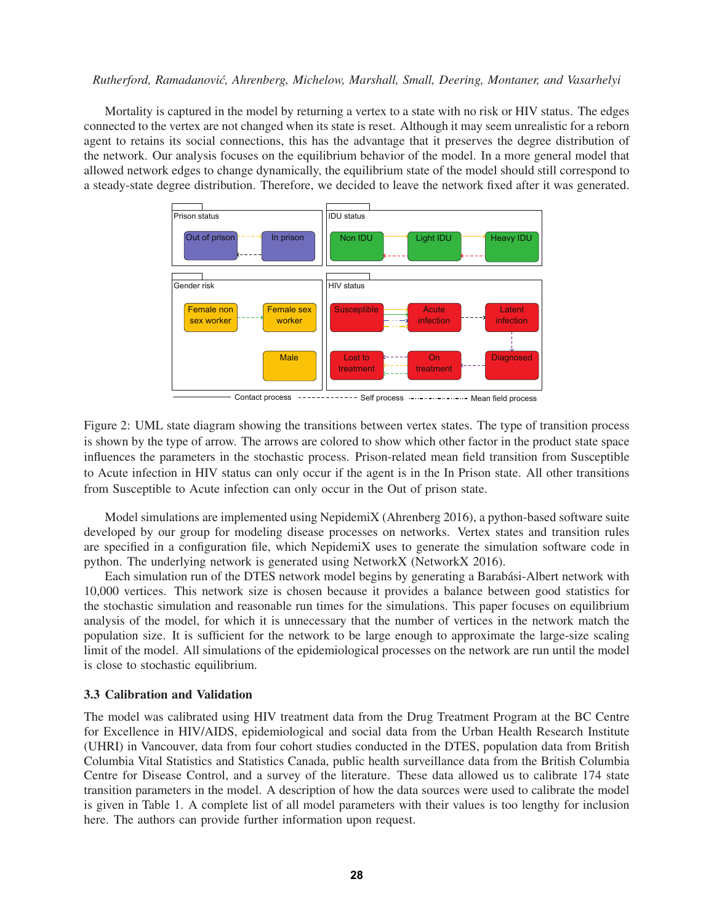Mortality is captured in the model by returning a vertex to a state with no risk or HIV status. The edges connected to the vertex are not changed when its state is reset. Although it may seem unrealistic for a reborn agent to retains its social connections, this has the advantage that it preserves the degree distribution of the network. Our analysis focuses on the equilibrium behavior of the model. In a more general model that allowed network edges to change dynamically, the equilibrium state of the model should still correspond to a steady-state degree distribution. Therefore, we decided to leave the network fixed after it was generated.



Contact process ------------ Self process --------------- Mean field process

Figure 2: UML state diagram showing the transitions between vertex states. The type of transition process is shown by the type of arrow. The arrows are colored to show which other factor in the product state space influences the parameters in the stochastic process. Prison-related mean field transition from Susceptible to Acute infection in HIV status can only occur if the agent is in the In Prison state. All other transitions from Susceptible to Acute infection can only occur in the Out of prison state.

Model simulations are implemented using NepidemiX (Ahrenberg 2016), a python-based software suite developed by our group for modeling disease processes on networks. Vertex states and transition rules are specified in a configuration file, which NepidemiX uses to generate the simulation software code in python. The underlying network is generated using NetworkX (NetworkX 2016).

Each simulation run of the DTES network model begins by generating a Barabási-Albert network with 10,000 vertices. This network size is chosen because it provides a balance between good statistics for the stochastic simulation and reasonable run times for the simulations. This paper focuses on equilibrium analysis of the model, for which it is unnecessary that the number of vertices in the network match the population size. It is sufficient for the network to be large enough to approximate the large-size scaling limit of the model. All simulations of the epidemiological processes on the network are run until the model is close to stochastic equilibrium.

### 3.3 Calibration and Validation

The model was calibrated using HIV treatment data from the Drug Treatment Program at the BC Centre for Excellence in HIV/AIDS, epidemiological and social data from the Urban Health Research Institute (UHRI) in Vancouver, data from four cohort studies conducted in the DTES, population data from British Columbia Vital Statistics and Statistics Canada, public health surveillance data from the British Columbia Centre for Disease Control, and a survey of the literature. These data allowed us to calibrate 174 state transition parameters in the model. A description of how the data sources were used to calibrate the model is given in Table 1. A complete list of all model parameters with their values is too lengthy for inclusion here. The authors can provide further information upon request.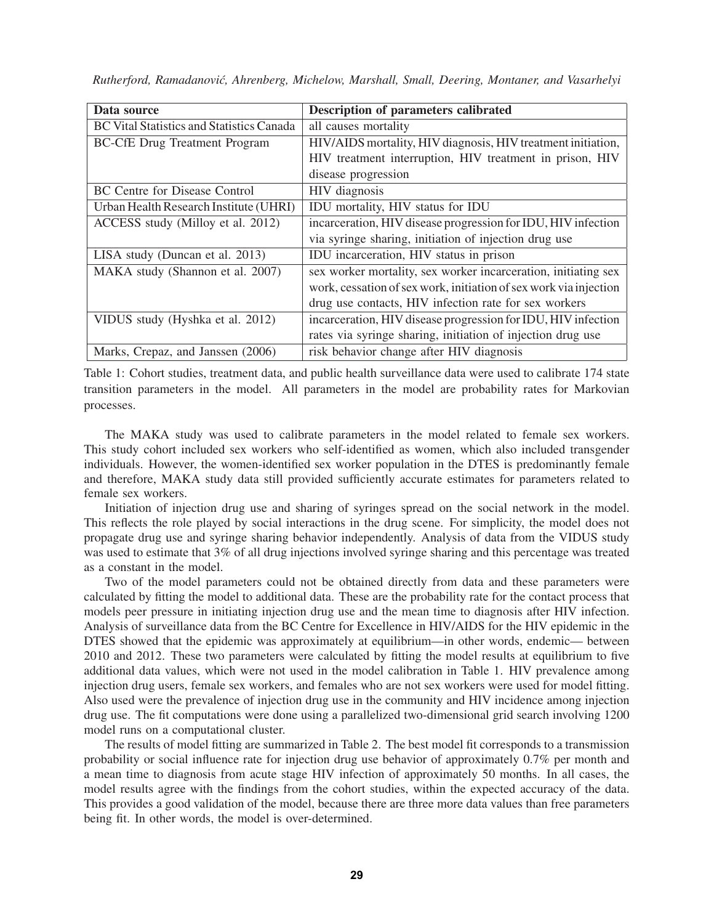| Data source                                      | <b>Description of parameters calibrated</b>                       |  |  |
|--------------------------------------------------|-------------------------------------------------------------------|--|--|
| <b>BC</b> Vital Statistics and Statistics Canada | all causes mortality                                              |  |  |
| <b>BC-CfE Drug Treatment Program</b>             | HIV/AIDS mortality, HIV diagnosis, HIV treatment initiation,      |  |  |
|                                                  | HIV treatment interruption, HIV treatment in prison, HIV          |  |  |
|                                                  | disease progression                                               |  |  |
| BC Centre for Disease Control                    | HIV diagnosis                                                     |  |  |
| Urban Health Research Institute (UHRI)           | IDU mortality, HIV status for IDU                                 |  |  |
| ACCESS study (Milloy et al. 2012)                | incarceration, HIV disease progression for IDU, HIV infection     |  |  |
|                                                  | via syringe sharing, initiation of injection drug use             |  |  |
| LISA study (Duncan et al. 2013)                  | IDU incarceration, HIV status in prison                           |  |  |
| MAKA study (Shannon et al. 2007)                 | sex worker mortality, sex worker incarceration, initiating sex    |  |  |
|                                                  | work, cessation of sex work, initiation of sex work via injection |  |  |
|                                                  | drug use contacts, HIV infection rate for sex workers             |  |  |
| VIDUS study (Hyshka et al. 2012)                 | incarceration, HIV disease progression for IDU, HIV infection     |  |  |
|                                                  | rates via syringe sharing, initiation of injection drug use       |  |  |
| Marks, Crepaz, and Janssen (2006)                | risk behavior change after HIV diagnosis                          |  |  |

*Rutherford, Ramadanovic, Ahrenberg, Michelow, Marshall, Small, Deering, Montaner, and Vasarhelyi ´*

Table 1: Cohort studies, treatment data, and public health surveillance data were used to calibrate 174 state transition parameters in the model. All parameters in the model are probability rates for Markovian processes.

The MAKA study was used to calibrate parameters in the model related to female sex workers. This study cohort included sex workers who self-identified as women, which also included transgender individuals. However, the women-identified sex worker population in the DTES is predominantly female and therefore, MAKA study data still provided sufficiently accurate estimates for parameters related to female sex workers.

Initiation of injection drug use and sharing of syringes spread on the social network in the model. This reflects the role played by social interactions in the drug scene. For simplicity, the model does not propagate drug use and syringe sharing behavior independently. Analysis of data from the VIDUS study was used to estimate that 3% of all drug injections involved syringe sharing and this percentage was treated as a constant in the model.

Two of the model parameters could not be obtained directly from data and these parameters were calculated by fitting the model to additional data. These are the probability rate for the contact process that models peer pressure in initiating injection drug use and the mean time to diagnosis after HIV infection. Analysis of surveillance data from the BC Centre for Excellence in HIV/AIDS for the HIV epidemic in the DTES showed that the epidemic was approximately at equilibrium—in other words, endemic— between 2010 and 2012. These two parameters were calculated by fitting the model results at equilibrium to five additional data values, which were not used in the model calibration in Table 1. HIV prevalence among injection drug users, female sex workers, and females who are not sex workers were used for model fitting. Also used were the prevalence of injection drug use in the community and HIV incidence among injection drug use. The fit computations were done using a parallelized two-dimensional grid search involving 1200 model runs on a computational cluster.

The results of model fitting are summarized in Table 2. The best model fit corresponds to a transmission probability or social influence rate for injection drug use behavior of approximately 0.7% per month and a mean time to diagnosis from acute stage HIV infection of approximately 50 months. In all cases, the model results agree with the findings from the cohort studies, within the expected accuracy of the data. This provides a good validation of the model, because there are three more data values than free parameters being fit. In other words, the model is over-determined.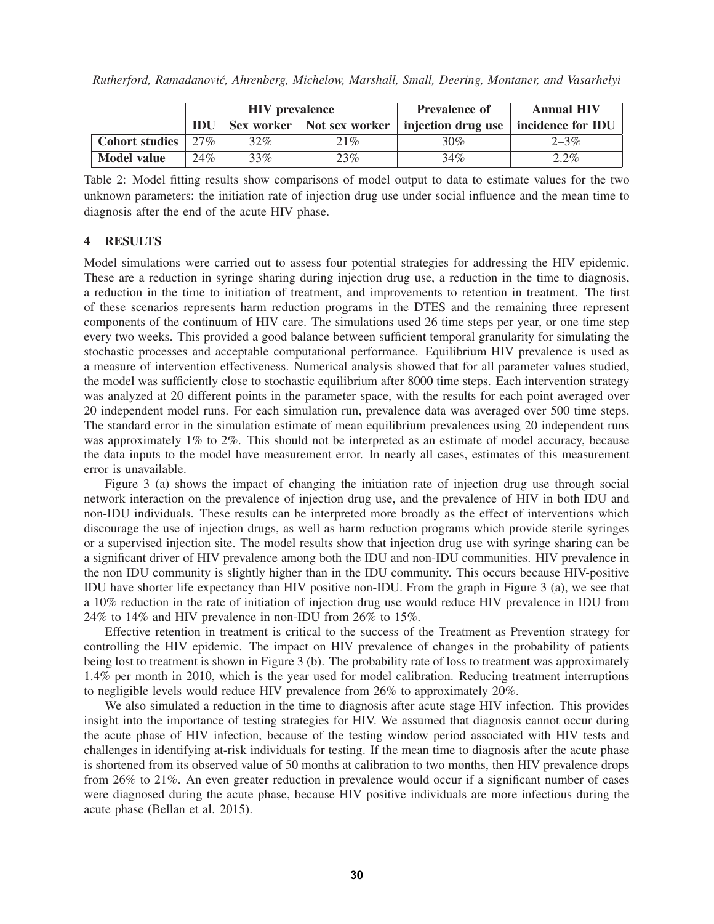|                                           |     | <b>HIV</b> prevalence |     | <b>Prevalence of</b>                           | <b>Annual HIV</b> |
|-------------------------------------------|-----|-----------------------|-----|------------------------------------------------|-------------------|
|                                           | IDU |                       |     | Sex worker Not sex worker   injection drug use | incidence for IDU |
| <b>Cohort studies</b> $\frac{27\%}{27\%}$ |     | 32%                   | 21% | $30\%$                                         | $2 - 3\%$         |
| <b>Model value</b>                        | 24% | 33%                   | 23% | 34%                                            | $2.2\%$           |

*Rutherford, Ramadanovic, Ahrenberg, Michelow, Marshall, Small, Deering, Montaner, and Vasarhelyi ´*

Table 2: Model fitting results show comparisons of model output to data to estimate values for the two unknown parameters: the initiation rate of injection drug use under social influence and the mean time to diagnosis after the end of the acute HIV phase.

## 4 RESULTS

Model simulations were carried out to assess four potential strategies for addressing the HIV epidemic. These are a reduction in syringe sharing during injection drug use, a reduction in the time to diagnosis, a reduction in the time to initiation of treatment, and improvements to retention in treatment. The first of these scenarios represents harm reduction programs in the DTES and the remaining three represent components of the continuum of HIV care. The simulations used 26 time steps per year, or one time step every two weeks. This provided a good balance between sufficient temporal granularity for simulating the stochastic processes and acceptable computational performance. Equilibrium HIV prevalence is used as a measure of intervention effectiveness. Numerical analysis showed that for all parameter values studied, the model was sufficiently close to stochastic equilibrium after 8000 time steps. Each intervention strategy was analyzed at 20 different points in the parameter space, with the results for each point averaged over 20 independent model runs. For each simulation run, prevalence data was averaged over 500 time steps. The standard error in the simulation estimate of mean equilibrium prevalences using 20 independent runs was approximately 1% to 2%. This should not be interpreted as an estimate of model accuracy, because the data inputs to the model have measurement error. In nearly all cases, estimates of this measurement error is unavailable.

Figure 3 (a) shows the impact of changing the initiation rate of injection drug use through social network interaction on the prevalence of injection drug use, and the prevalence of HIV in both IDU and non-IDU individuals. These results can be interpreted more broadly as the effect of interventions which discourage the use of injection drugs, as well as harm reduction programs which provide sterile syringes or a supervised injection site. The model results show that injection drug use with syringe sharing can be a significant driver of HIV prevalence among both the IDU and non-IDU communities. HIV prevalence in the non IDU community is slightly higher than in the IDU community. This occurs because HIV-positive IDU have shorter life expectancy than HIV positive non-IDU. From the graph in Figure 3 (a), we see that a 10% reduction in the rate of initiation of injection drug use would reduce HIV prevalence in IDU from 24% to 14% and HIV prevalence in non-IDU from 26% to 15%.

Effective retention in treatment is critical to the success of the Treatment as Prevention strategy for controlling the HIV epidemic. The impact on HIV prevalence of changes in the probability of patients being lost to treatment is shown in Figure 3 (b). The probability rate of loss to treatment was approximately 1.4% per month in 2010, which is the year used for model calibration. Reducing treatment interruptions to negligible levels would reduce HIV prevalence from 26% to approximately 20%.

We also simulated a reduction in the time to diagnosis after acute stage HIV infection. This provides insight into the importance of testing strategies for HIV. We assumed that diagnosis cannot occur during the acute phase of HIV infection, because of the testing window period associated with HIV tests and challenges in identifying at-risk individuals for testing. If the mean time to diagnosis after the acute phase is shortened from its observed value of 50 months at calibration to two months, then HIV prevalence drops from 26% to 21%. An even greater reduction in prevalence would occur if a significant number of cases were diagnosed during the acute phase, because HIV positive individuals are more infectious during the acute phase (Bellan et al. 2015).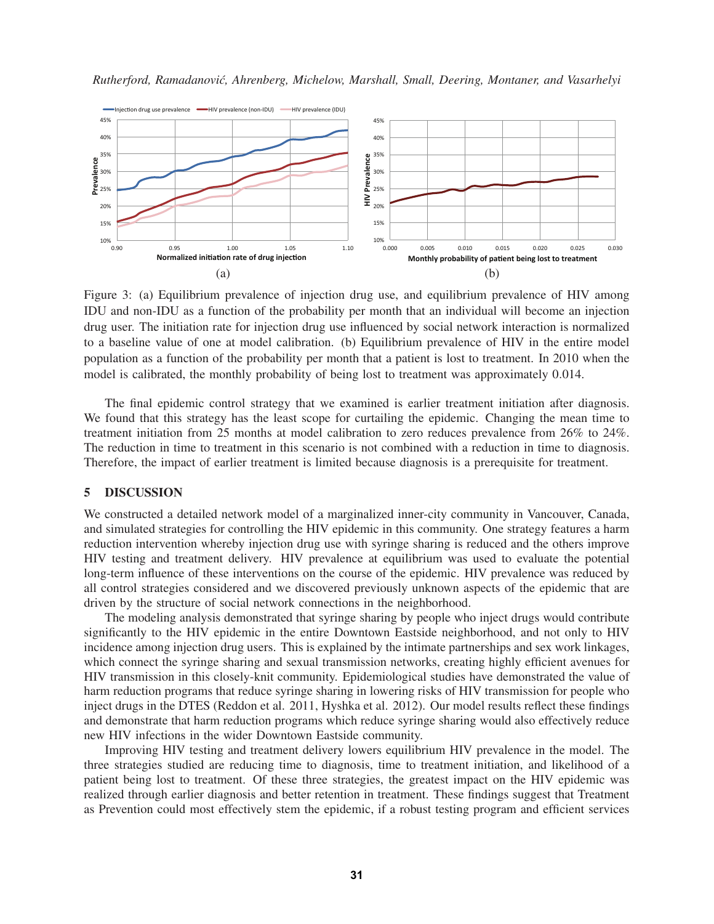



Figure 3: (a) Equilibrium prevalence of injection drug use, and equilibrium prevalence of HIV among IDU and non-IDU as a function of the probability per month that an individual will become an injection drug user. The initiation rate for injection drug use influenced by social network interaction is normalized to a baseline value of one at model calibration. (b) Equilibrium prevalence of HIV in the entire model population as a function of the probability per month that a patient is lost to treatment. In 2010 when the model is calibrated, the monthly probability of being lost to treatment was approximately 0.014.

The final epidemic control strategy that we examined is earlier treatment initiation after diagnosis. We found that this strategy has the least scope for curtailing the epidemic. Changing the mean time to treatment initiation from 25 months at model calibration to zero reduces prevalence from 26% to 24%. The reduction in time to treatment in this scenario is not combined with a reduction in time to diagnosis. Therefore, the impact of earlier treatment is limited because diagnosis is a prerequisite for treatment.

#### 5 DISCUSSION

We constructed a detailed network model of a marginalized inner-city community in Vancouver, Canada, and simulated strategies for controlling the HIV epidemic in this community. One strategy features a harm reduction intervention whereby injection drug use with syringe sharing is reduced and the others improve HIV testing and treatment delivery. HIV prevalence at equilibrium was used to evaluate the potential long-term influence of these interventions on the course of the epidemic. HIV prevalence was reduced by all control strategies considered and we discovered previously unknown aspects of the epidemic that are driven by the structure of social network connections in the neighborhood.

The modeling analysis demonstrated that syringe sharing by people who inject drugs would contribute significantly to the HIV epidemic in the entire Downtown Eastside neighborhood, and not only to HIV incidence among injection drug users. This is explained by the intimate partnerships and sex work linkages, which connect the syringe sharing and sexual transmission networks, creating highly efficient avenues for HIV transmission in this closely-knit community. Epidemiological studies have demonstrated the value of harm reduction programs that reduce syringe sharing in lowering risks of HIV transmission for people who inject drugs in the DTES (Reddon et al. 2011, Hyshka et al. 2012). Our model results reflect these findings and demonstrate that harm reduction programs which reduce syringe sharing would also effectively reduce new HIV infections in the wider Downtown Eastside community.

Improving HIV testing and treatment delivery lowers equilibrium HIV prevalence in the model. The three strategies studied are reducing time to diagnosis, time to treatment initiation, and likelihood of a patient being lost to treatment. Of these three strategies, the greatest impact on the HIV epidemic was realized through earlier diagnosis and better retention in treatment. These findings suggest that Treatment as Prevention could most effectively stem the epidemic, if a robust testing program and efficient services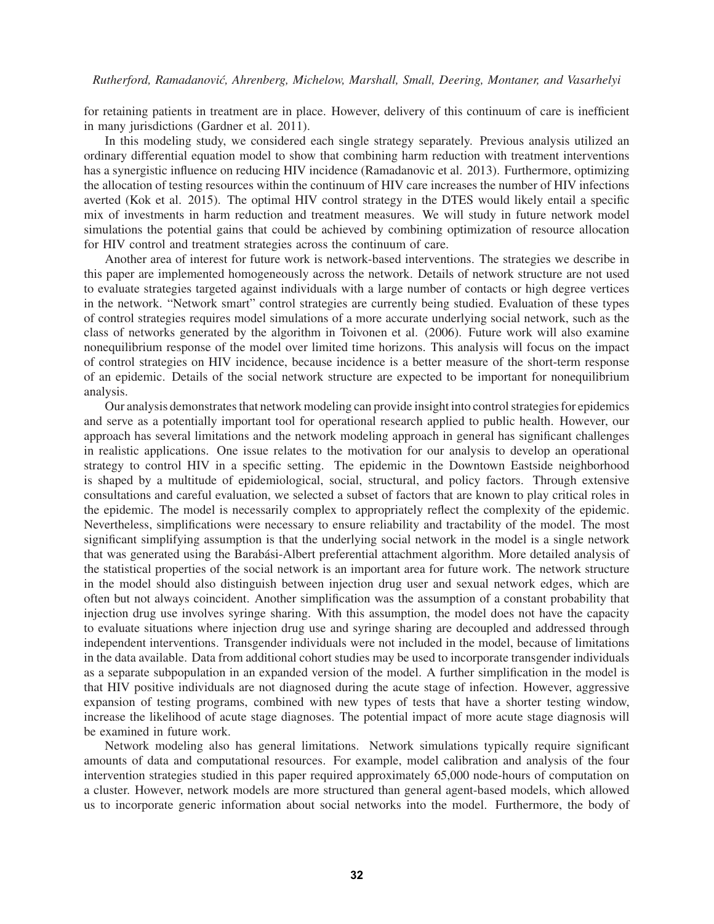for retaining patients in treatment are in place. However, delivery of this continuum of care is inefficient in many jurisdictions (Gardner et al. 2011).

In this modeling study, we considered each single strategy separately. Previous analysis utilized an ordinary differential equation model to show that combining harm reduction with treatment interventions has a synergistic influence on reducing HIV incidence (Ramadanovic et al. 2013). Furthermore, optimizing the allocation of testing resources within the continuum of HIV care increases the number of HIV infections averted (Kok et al. 2015). The optimal HIV control strategy in the DTES would likely entail a specific mix of investments in harm reduction and treatment measures. We will study in future network model simulations the potential gains that could be achieved by combining optimization of resource allocation for HIV control and treatment strategies across the continuum of care.

Another area of interest for future work is network-based interventions. The strategies we describe in this paper are implemented homogeneously across the network. Details of network structure are not used to evaluate strategies targeted against individuals with a large number of contacts or high degree vertices in the network. "Network smart" control strategies are currently being studied. Evaluation of these types of control strategies requires model simulations of a more accurate underlying social network, such as the class of networks generated by the algorithm in Toivonen et al. (2006). Future work will also examine nonequilibrium response of the model over limited time horizons. This analysis will focus on the impact of control strategies on HIV incidence, because incidence is a better measure of the short-term response of an epidemic. Details of the social network structure are expected to be important for nonequilibrium analysis.

Our analysis demonstrates that network modeling can provide insight into control strategies for epidemics and serve as a potentially important tool for operational research applied to public health. However, our approach has several limitations and the network modeling approach in general has significant challenges in realistic applications. One issue relates to the motivation for our analysis to develop an operational strategy to control HIV in a specific setting. The epidemic in the Downtown Eastside neighborhood is shaped by a multitude of epidemiological, social, structural, and policy factors. Through extensive consultations and careful evaluation, we selected a subset of factors that are known to play critical roles in the epidemic. The model is necessarily complex to appropriately reflect the complexity of the epidemic. Nevertheless, simplifications were necessary to ensure reliability and tractability of the model. The most significant simplifying assumption is that the underlying social network in the model is a single network that was generated using the Barabási-Albert preferential attachment algorithm. More detailed analysis of the statistical properties of the social network is an important area for future work. The network structure in the model should also distinguish between injection drug user and sexual network edges, which are often but not always coincident. Another simplification was the assumption of a constant probability that injection drug use involves syringe sharing. With this assumption, the model does not have the capacity to evaluate situations where injection drug use and syringe sharing are decoupled and addressed through independent interventions. Transgender individuals were not included in the model, because of limitations in the data available. Data from additional cohort studies may be used to incorporate transgender individuals as a separate subpopulation in an expanded version of the model. A further simplification in the model is that HIV positive individuals are not diagnosed during the acute stage of infection. However, aggressive expansion of testing programs, combined with new types of tests that have a shorter testing window, increase the likelihood of acute stage diagnoses. The potential impact of more acute stage diagnosis will be examined in future work.

Network modeling also has general limitations. Network simulations typically require significant amounts of data and computational resources. For example, model calibration and analysis of the four intervention strategies studied in this paper required approximately 65,000 node-hours of computation on a cluster. However, network models are more structured than general agent-based models, which allowed us to incorporate generic information about social networks into the model. Furthermore, the body of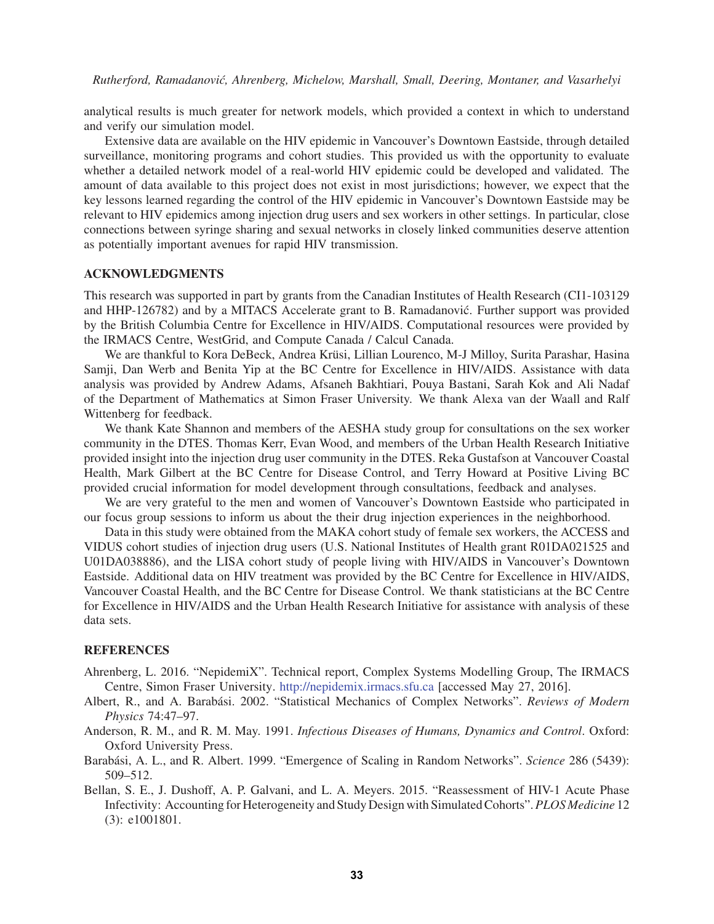analytical results is much greater for network models, which provided a context in which to understand and verify our simulation model.

Extensive data are available on the HIV epidemic in Vancouver's Downtown Eastside, through detailed surveillance, monitoring programs and cohort studies. This provided us with the opportunity to evaluate whether a detailed network model of a real-world HIV epidemic could be developed and validated. The amount of data available to this project does not exist in most jurisdictions; however, we expect that the key lessons learned regarding the control of the HIV epidemic in Vancouver's Downtown Eastside may be relevant to HIV epidemics among injection drug users and sex workers in other settings. In particular, close connections between syringe sharing and sexual networks in closely linked communities deserve attention as potentially important avenues for rapid HIV transmission.

#### ACKNOWLEDGMENTS

This research was supported in part by grants from the Canadian Institutes of Health Research (CI1-103129 and HHP-126782) and by a MITACS Accelerate grant to B. Ramadanovic. Further support was provided ´ by the British Columbia Centre for Excellence in HIV/AIDS. Computational resources were provided by the IRMACS Centre, WestGrid, and Compute Canada / Calcul Canada.

We are thankful to Kora DeBeck, Andrea Krüsi, Lillian Lourenco, M-J Milloy, Surita Parashar, Hasina Samji, Dan Werb and Benita Yip at the BC Centre for Excellence in HIV/AIDS. Assistance with data analysis was provided by Andrew Adams, Afsaneh Bakhtiari, Pouya Bastani, Sarah Kok and Ali Nadaf of the Department of Mathematics at Simon Fraser University. We thank Alexa van der Waall and Ralf Wittenberg for feedback.

We thank Kate Shannon and members of the AESHA study group for consultations on the sex worker community in the DTES. Thomas Kerr, Evan Wood, and members of the Urban Health Research Initiative provided insight into the injection drug user community in the DTES. Reka Gustafson at Vancouver Coastal Health, Mark Gilbert at the BC Centre for Disease Control, and Terry Howard at Positive Living BC provided crucial information for model development through consultations, feedback and analyses.

We are very grateful to the men and women of Vancouver's Downtown Eastside who participated in our focus group sessions to inform us about the their drug injection experiences in the neighborhood.

Data in this study were obtained from the MAKA cohort study of female sex workers, the ACCESS and VIDUS cohort studies of injection drug users (U.S. National Institutes of Health grant R01DA021525 and U01DA038886), and the LISA cohort study of people living with HIV/AIDS in Vancouver's Downtown Eastside. Additional data on HIV treatment was provided by the BC Centre for Excellence in HIV/AIDS, Vancouver Coastal Health, and the BC Centre for Disease Control. We thank statisticians at the BC Centre for Excellence in HIV/AIDS and the Urban Health Research Initiative for assistance with analysis of these data sets.

#### **REFERENCES**

- Ahrenberg, L. 2016. "NepidemiX". Technical report, Complex Systems Modelling Group, The IRMACS Centre, Simon Fraser University. http://nepidemix.irmacs.sfu.ca [accessed May 27, 2016].
- Albert, R., and A. Barabási. 2002. "Statistical Mechanics of Complex Networks". Reviews of Modern *Physics* 74:47–97.
- Anderson, R. M., and R. M. May. 1991. *Infectious Diseases of Humans, Dynamics and Control*. Oxford: Oxford University Press.
- Barabási, A. L., and R. Albert. 1999. "Emergence of Scaling in Random Networks". *Science* 286 (5439): 509–512.
- Bellan, S. E., J. Dushoff, A. P. Galvani, and L. A. Meyers. 2015. "Reassessment of HIV-1 Acute Phase Infectivity: Accounting for Heterogeneity and Study Design with Simulated Cohorts".*PLOS Medicine* 12 (3): e1001801.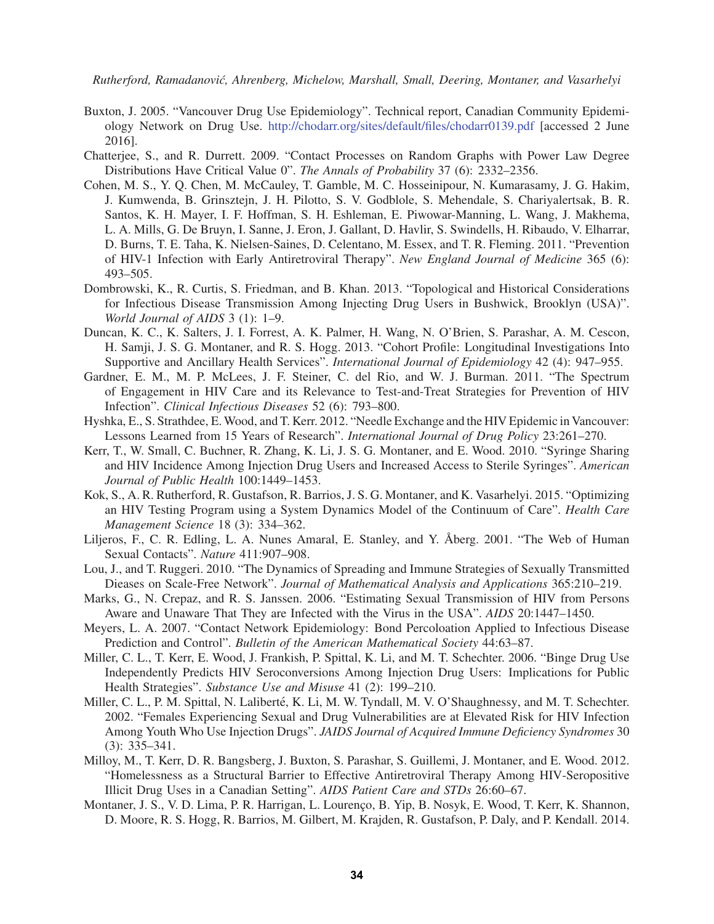- Buxton, J. 2005. "Vancouver Drug Use Epidemiology". Technical report, Canadian Community Epidemiology Network on Drug Use. http://chodarr.org/sites/default/files/chodarr0139.pdf [accessed 2 June 2016].
- Chatterjee, S., and R. Durrett. 2009. "Contact Processes on Random Graphs with Power Law Degree Distributions Have Critical Value 0". *The Annals of Probability* 37 (6): 2332–2356.
- Cohen, M. S., Y. Q. Chen, M. McCauley, T. Gamble, M. C. Hosseinipour, N. Kumarasamy, J. G. Hakim, J. Kumwenda, B. Grinsztejn, J. H. Pilotto, S. V. Godblole, S. Mehendale, S. Chariyalertsak, B. R. Santos, K. H. Mayer, I. F. Hoffman, S. H. Eshleman, E. Piwowar-Manning, L. Wang, J. Makhema, L. A. Mills, G. De Bruyn, I. Sanne, J. Eron, J. Gallant, D. Havlir, S. Swindells, H. Ribaudo, V. Elharrar, D. Burns, T. E. Taha, K. Nielsen-Saines, D. Celentano, M. Essex, and T. R. Fleming. 2011. "Prevention of HIV-1 Infection with Early Antiretroviral Therapy". *New England Journal of Medicine* 365 (6): 493–505.
- Dombrowski, K., R. Curtis, S. Friedman, and B. Khan. 2013. "Topological and Historical Considerations for Infectious Disease Transmission Among Injecting Drug Users in Bushwick, Brooklyn (USA)". *World Journal of AIDS* 3 (1): 1–9.
- Duncan, K. C., K. Salters, J. I. Forrest, A. K. Palmer, H. Wang, N. O'Brien, S. Parashar, A. M. Cescon, H. Samji, J. S. G. Montaner, and R. S. Hogg. 2013. "Cohort Profile: Longitudinal Investigations Into Supportive and Ancillary Health Services". *International Journal of Epidemiology* 42 (4): 947–955.
- Gardner, E. M., M. P. McLees, J. F. Steiner, C. del Rio, and W. J. Burman. 2011. "The Spectrum of Engagement in HIV Care and its Relevance to Test-and-Treat Strategies for Prevention of HIV Infection". *Clinical Infectious Diseases* 52 (6): 793–800.
- Hyshka, E., S. Strathdee, E. Wood, and T. Kerr. 2012. "Needle Exchange and the HIV Epidemic in Vancouver: Lessons Learned from 15 Years of Research". *International Journal of Drug Policy* 23:261–270.
- Kerr, T., W. Small, C. Buchner, R. Zhang, K. Li, J. S. G. Montaner, and E. Wood. 2010. "Syringe Sharing and HIV Incidence Among Injection Drug Users and Increased Access to Sterile Syringes". *American Journal of Public Health* 100:1449–1453.
- Kok, S., A. R. Rutherford, R. Gustafson, R. Barrios, J. S. G. Montaner, and K. Vasarhelyi. 2015. "Optimizing an HIV Testing Program using a System Dynamics Model of the Continuum of Care". *Health Care Management Science* 18 (3): 334–362.
- Liljeros, F., C. R. Edling, L. A. Nunes Amaral, E. Stanley, and Y. Åberg. 2001. "The Web of Human Sexual Contacts". *Nature* 411:907–908.
- Lou, J., and T. Ruggeri. 2010. "The Dynamics of Spreading and Immune Strategies of Sexually Transmitted Dieases on Scale-Free Network". *Journal of Mathematical Analysis and Applications* 365:210–219.
- Marks, G., N. Crepaz, and R. S. Janssen. 2006. "Estimating Sexual Transmission of HIV from Persons Aware and Unaware That They are Infected with the Virus in the USA". *AIDS* 20:1447–1450.
- Meyers, L. A. 2007. "Contact Network Epidemiology: Bond Percoloation Applied to Infectious Disease Prediction and Control". *Bulletin of the American Mathematical Society* 44:63–87.
- Miller, C. L., T. Kerr, E. Wood, J. Frankish, P. Spittal, K. Li, and M. T. Schechter. 2006. "Binge Drug Use Independently Predicts HIV Seroconversions Among Injection Drug Users: Implications for Public Health Strategies". *Substance Use and Misuse* 41 (2): 199–210.
- Miller, C. L., P. M. Spittal, N. Laliberté, K. Li, M. W. Tyndall, M. V. O'Shaughnessy, and M. T. Schechter. 2002. "Females Experiencing Sexual and Drug Vulnerabilities are at Elevated Risk for HIV Infection Among Youth Who Use Injection Drugs". *JAIDS Journal of Acquired Immune Deficiency Syndromes* 30 (3): 335–341.
- Milloy, M., T. Kerr, D. R. Bangsberg, J. Buxton, S. Parashar, S. Guillemi, J. Montaner, and E. Wood. 2012. "Homelessness as a Structural Barrier to Effective Antiretroviral Therapy Among HIV-Seropositive Illicit Drug Uses in a Canadian Setting". *AIDS Patient Care and STDs* 26:60–67.
- Montaner, J. S., V. D. Lima, P. R. Harrigan, L. Lourenco, B. Yip, B. Nosyk, E. Wood, T. Kerr, K. Shannon, D. Moore, R. S. Hogg, R. Barrios, M. Gilbert, M. Krajden, R. Gustafson, P. Daly, and P. Kendall. 2014.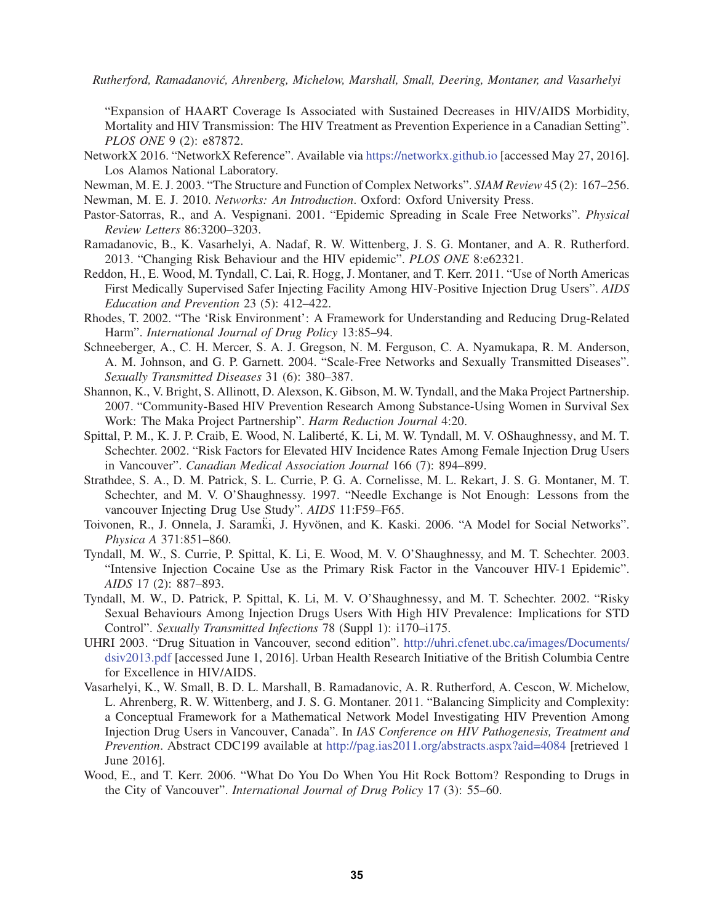"Expansion of HAART Coverage Is Associated with Sustained Decreases in HIV/AIDS Morbidity, Mortality and HIV Transmission: The HIV Treatment as Prevention Experience in a Canadian Setting". *PLOS ONE* 9 (2): e87872.

- NetworkX 2016. "NetworkX Reference". Available via https://networkx.github.io [accessed May 27, 2016]. Los Alamos National Laboratory.
- Newman, M. E. J. 2003. "The Structure and Function of Complex Networks". *SIAM Review* 45 (2): 167–256. Newman, M. E. J. 2010. *Networks: An Introduction*. Oxford: Oxford University Press.
- Pastor-Satorras, R., and A. Vespignani. 2001. "Epidemic Spreading in Scale Free Networks". *Physical Review Letters* 86:3200–3203.
- Ramadanovic, B., K. Vasarhelyi, A. Nadaf, R. W. Wittenberg, J. S. G. Montaner, and A. R. Rutherford. 2013. "Changing Risk Behaviour and the HIV epidemic". *PLOS ONE* 8:e62321.
- Reddon, H., E. Wood, M. Tyndall, C. Lai, R. Hogg, J. Montaner, and T. Kerr. 2011. "Use of North Americas First Medically Supervised Safer Injecting Facility Among HIV-Positive Injection Drug Users". *AIDS Education and Prevention* 23 (5): 412–422.
- Rhodes, T. 2002. "The 'Risk Environment': A Framework for Understanding and Reducing Drug-Related Harm". *International Journal of Drug Policy* 13:85–94.
- Schneeberger, A., C. H. Mercer, S. A. J. Gregson, N. M. Ferguson, C. A. Nyamukapa, R. M. Anderson, A. M. Johnson, and G. P. Garnett. 2004. "Scale-Free Networks and Sexually Transmitted Diseases". *Sexually Transmitted Diseases* 31 (6): 380–387.
- Shannon, K., V. Bright, S. Allinott, D. Alexson, K. Gibson, M. W. Tyndall, and the Maka Project Partnership. 2007. "Community-Based HIV Prevention Research Among Substance-Using Women in Survival Sex Work: The Maka Project Partnership". *Harm Reduction Journal* 4:20.
- Spittal, P. M., K. J. P. Craib, E. Wood, N. Laliberté, K. Li, M. W. Tyndall, M. V. OShaughnessy, and M. T. Schechter. 2002. "Risk Factors for Elevated HIV Incidence Rates Among Female Injection Drug Users in Vancouver". *Canadian Medical Association Journal* 166 (7): 894–899.
- Strathdee, S. A., D. M. Patrick, S. L. Currie, P. G. A. Cornelisse, M. L. Rekart, J. S. G. Montaner, M. T. Schechter, and M. V. O'Shaughnessy. 1997. "Needle Exchange is Not Enough: Lessons from the vancouver Injecting Drug Use Study". *AIDS* 11:F59–F65.
- Toivonen, R., J. Onnela, J. Saramki, J. Hyvönen, and K. Kaski. 2006. "A Model for Social Networks". *Physica A* 371:851–860.
- Tyndall, M. W., S. Currie, P. Spittal, K. Li, E. Wood, M. V. O'Shaughnessy, and M. T. Schechter. 2003. "Intensive Injection Cocaine Use as the Primary Risk Factor in the Vancouver HIV-1 Epidemic". *AIDS* 17 (2): 887–893.
- Tyndall, M. W., D. Patrick, P. Spittal, K. Li, M. V. O'Shaughnessy, and M. T. Schechter. 2002. "Risky Sexual Behaviours Among Injection Drugs Users With High HIV Prevalence: Implications for STD Control". *Sexually Transmitted Infections* 78 (Suppl 1): i170–i175.
- UHRI 2003. "Drug Situation in Vancouver, second edition". http://uhri.cfenet.ubc.ca/images/Documents/ dsiv2013.pdf [accessed June 1, 2016]. Urban Health Research Initiative of the British Columbia Centre for Excellence in HIV/AIDS.
- Vasarhelyi, K., W. Small, B. D. L. Marshall, B. Ramadanovic, A. R. Rutherford, A. Cescon, W. Michelow, L. Ahrenberg, R. W. Wittenberg, and J. S. G. Montaner. 2011. "Balancing Simplicity and Complexity: a Conceptual Framework for a Mathematical Network Model Investigating HIV Prevention Among Injection Drug Users in Vancouver, Canada". In *IAS Conference on HIV Pathogenesis, Treatment and Prevention*. Abstract CDC199 available at http://pag.ias2011.org/abstracts.aspx?aid=4084 [retrieved 1 June 2016].
- Wood, E., and T. Kerr. 2006. "What Do You Do When You Hit Rock Bottom? Responding to Drugs in the City of Vancouver". *International Journal of Drug Policy* 17 (3): 55–60.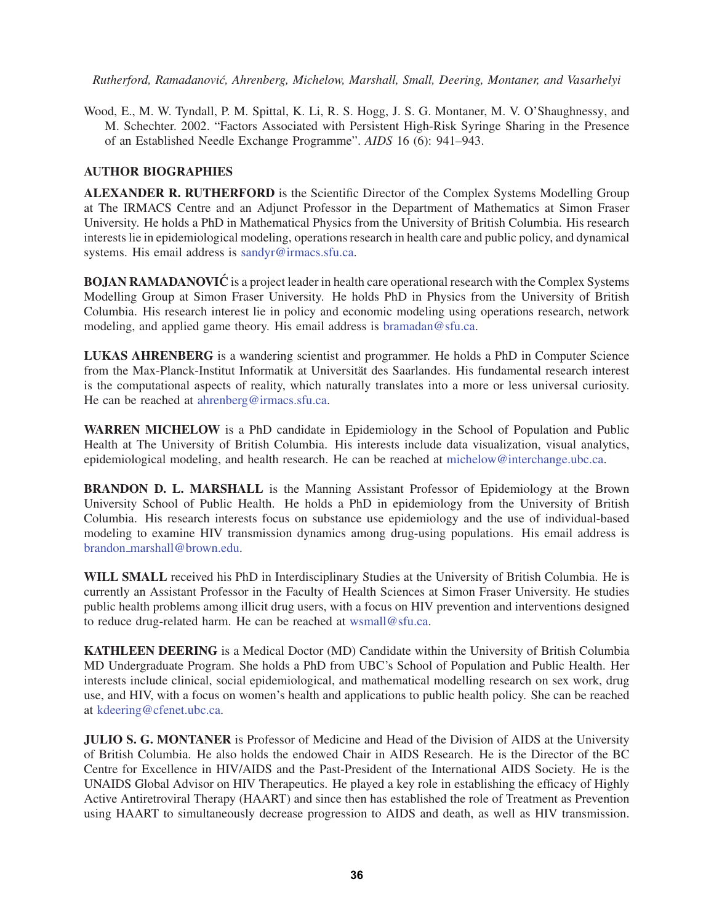Wood, E., M. W. Tyndall, P. M. Spittal, K. Li, R. S. Hogg, J. S. G. Montaner, M. V. O'Shaughnessy, and M. Schechter. 2002. "Factors Associated with Persistent High-Risk Syringe Sharing in the Presence of an Established Needle Exchange Programme". *AIDS* 16 (6): 941–943.

# AUTHOR BIOGRAPHIES

ALEXANDER R. RUTHERFORD is the Scientific Director of the Complex Systems Modelling Group at The IRMACS Centre and an Adjunct Professor in the Department of Mathematics at Simon Fraser University. He holds a PhD in Mathematical Physics from the University of British Columbia. His research interests lie in epidemiological modeling, operations research in health care and public policy, and dynamical systems. His email address is sandyr@irmacs.sfu.ca.

BOJAN RAMADANOVIĆ is a project leader in health care operational research with the Complex Systems Modelling Group at Simon Fraser University. He holds PhD in Physics from the University of British Columbia. His research interest lie in policy and economic modeling using operations research, network modeling, and applied game theory. His email address is bramadan@sfu.ca.

LUKAS AHRENBERG is a wandering scientist and programmer. He holds a PhD in Computer Science from the Max-Planck-Institut Informatik at Universität des Saarlandes. His fundamental research interest is the computational aspects of reality, which naturally translates into a more or less universal curiosity. He can be reached at ahrenberg@irmacs.sfu.ca.

WARREN MICHELOW is a PhD candidate in Epidemiology in the School of Population and Public Health at The University of British Columbia. His interests include data visualization, visual analytics, epidemiological modeling, and health research. He can be reached at michelow@interchange.ubc.ca.

BRANDON D. L. MARSHALL is the Manning Assistant Professor of Epidemiology at the Brown University School of Public Health. He holds a PhD in epidemiology from the University of British Columbia. His research interests focus on substance use epidemiology and the use of individual-based modeling to examine HIV transmission dynamics among drug-using populations. His email address is brandon marshall@brown.edu.

WILL SMALL received his PhD in Interdisciplinary Studies at the University of British Columbia. He is currently an Assistant Professor in the Faculty of Health Sciences at Simon Fraser University. He studies public health problems among illicit drug users, with a focus on HIV prevention and interventions designed to reduce drug-related harm. He can be reached at wsmall@sfu.ca.

KATHLEEN DEERING is a Medical Doctor (MD) Candidate within the University of British Columbia MD Undergraduate Program. She holds a PhD from UBC's School of Population and Public Health. Her interests include clinical, social epidemiological, and mathematical modelling research on sex work, drug use, and HIV, with a focus on women's health and applications to public health policy. She can be reached at kdeering@cfenet.ubc.ca.

JULIO S. G. MONTANER is Professor of Medicine and Head of the Division of AIDS at the University of British Columbia. He also holds the endowed Chair in AIDS Research. He is the Director of the BC Centre for Excellence in HIV/AIDS and the Past-President of the International AIDS Society. He is the UNAIDS Global Advisor on HIV Therapeutics. He played a key role in establishing the efficacy of Highly Active Antiretroviral Therapy (HAART) and since then has established the role of Treatment as Prevention using HAART to simultaneously decrease progression to AIDS and death, as well as HIV transmission.